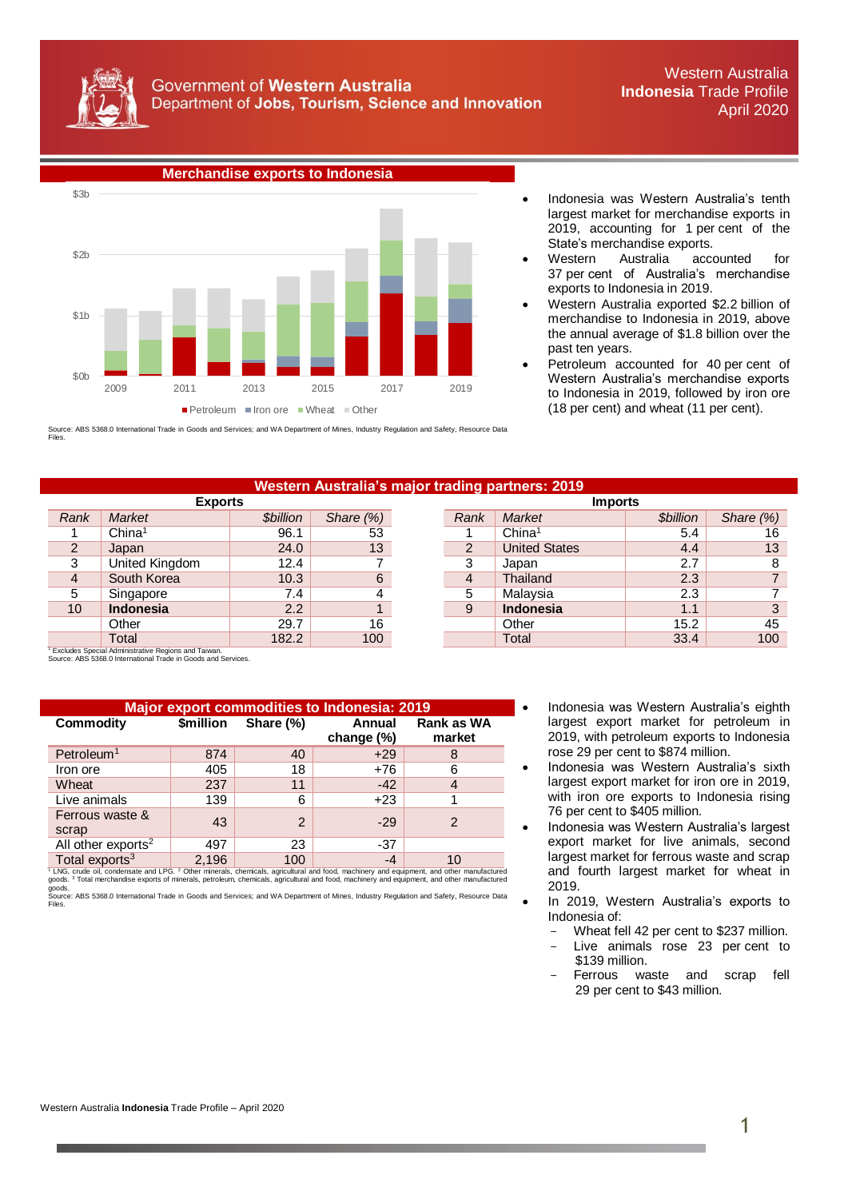



 Indonesia was Western Australia's tenth largest market for merchandise exports in 2019, accounting for 1 per cent of the State's merchandise exports.

- Western Australia accounted for 37 per cent of Australia's merchandise exports to Indonesia in 2019.
- Western Australia exported \$2.2 billion of merchandise to Indonesia in 2019, above the annual average of \$1.8 billion over the past ten years.
- Petroleum accounted for 40 per cent of Western Australia's merchandise exports to Indonesia in 2019, followed by iron ore (18 per cent) and wheat (11 per cent).

Source: ABS 5368.0 International Trade in Goods and Services; and WA Department of Mines, Industry Regulation and Safety, Resource Data Files.

## **Western Australia's major trading partners: 2019**

| <b>EXPORTS</b> |                    |                         |              | <b>IMPORTS</b> |                      |                         |                 |  |
|----------------|--------------------|-------------------------|--------------|----------------|----------------------|-------------------------|-----------------|--|
| Rank           | <b>Market</b>      | <i><b>\$billion</b></i> | Share $(\%)$ | Rank           | Market               | <i><b>\$billion</b></i> | Share (%)       |  |
|                | China <sup>1</sup> | 96.1                    | 53           |                | China <sup>1</sup>   | 5.4                     | 16              |  |
| $\overline{2}$ | Japan              | 24.0                    | 13           | 2              | <b>United States</b> | 4.4                     | 13              |  |
| ≏<br>د         | United Kingdom     | 12.4                    |              | ◠              | Japan                | 2.7                     |                 |  |
| 4              | South Korea        | 10.3                    | 6            | 4              | Thailand             | 2.3                     |                 |  |
| 5              | Singapore          | 7.4                     |              | 5              | Malaysia             | 2.3                     |                 |  |
| 10             | <b>Indonesia</b>   | 2.2                     |              | 9              | <b>Indonesia</b>     | 1.1                     | 3               |  |
|                | Other              | 29.7                    | 16           |                | Other                | 15.2                    | 45              |  |
|                | Total              | 182.2                   | 100          |                | Total                | 33.4                    | 10 <sub>C</sub> |  |

| Market             | <b><i>Sbillion</i></b> |           |      | <b>Imports</b>       |                 |           |  |
|--------------------|------------------------|-----------|------|----------------------|-----------------|-----------|--|
|                    |                        | Share (%) | Rank | Market               | <b>Sbillion</b> | Share (%) |  |
| China <sup>1</sup> | 96.1                   | 53        |      | China <sup>1</sup>   | 5.4             | 16        |  |
| Japan              | 24.0                   | 13        | 2    | <b>United States</b> | 4.4             | 13        |  |
| United Kingdom     | 12.4                   |           | 3    | Japan                | 2.7             |           |  |
| South Korea        | 10.3                   | 6         | 4    | Thailand             | 2.3             |           |  |
| Singapore          | 7.4                    |           | 5    | Malaysia             | 2.3             |           |  |
| <b>Indonesia</b>   | 2.2                    |           | 9    | <b>Indonesia</b>     | 1.1             |           |  |
| Other              | 29.7                   | 16        |      | Other                | 15.2            | 45        |  |
| Total              | 182.2                  | 100       |      | Total                | 33.4            | 100       |  |
|                    |                        |           |      |                      |                 |           |  |

<sup>1</sup> Excludes Special Administrative Regions and Taiwan. Source: ABS 5368.0 International Trade in Goods and Services.

| <b>Major export commodities to Indonesia: 2019</b> |           |                |                      |                             |  |  |  |
|----------------------------------------------------|-----------|----------------|----------------------|-----------------------------|--|--|--|
| <b>Commodity</b>                                   | \$million | Share (%)      | Annual<br>change (%) | <b>Rank as WA</b><br>market |  |  |  |
| Petroleum <sup>1</sup>                             | 874       | 40             | $+29$                | 8                           |  |  |  |
| Iron ore                                           | 405       | 18             | +76                  | 6                           |  |  |  |
| Wheat                                              | 237       | 11             | $-42$                |                             |  |  |  |
| Live animals                                       | 139       | 6              | $+23$                |                             |  |  |  |
| Ferrous waste &<br>scrap                           | 43        | $\overline{2}$ | $-29$                | 2                           |  |  |  |
| All other exports <sup>2</sup>                     | 497       | 23             | $-37$                |                             |  |  |  |
| Total exports <sup>3</sup>                         | 2.196     | 100            | -4                   | 10                          |  |  |  |

Total exports<sup>3</sup><br><sup>1</sup> LNG, crude oil, condensate and LPG. <sup>2</sup> Other minerals, chemicals, agricultural and food, machinery and equipment, and other manufactured<br>goods. <sup>3</sup> Total merchandise exports of minerals, petroleum, ch goods. Source: ABS 5368.0 International Trade in Goods and Services; and WA Department of Mines, Industry Regulation and Safety, Resource Data

Files.

- **Major export commodities to Indonesia: 2019** Indonesia was Western Australia's eighth largest export market for petroleum in 2019, with petroleum exports to Indonesia rose 29 per cent to \$874 million.
- Indonesia was Western Australia's sixth largest export market for iron ore in 2019, with iron ore exports to Indonesia rising 76 per cent to \$405 million.
- Indonesia was Western Australia's largest export market for live animals, second largest market for ferrous waste and scrap and fourth largest market for wheat in 2019.
- In 2019, Western Australia's exports to Indonesia of:
	- Wheat fell 42 per cent to \$237 million.
	- Live animals rose 23 per cent to \$139 million.
	- Ferrous waste and scrap fell 29 per cent to \$43 million.